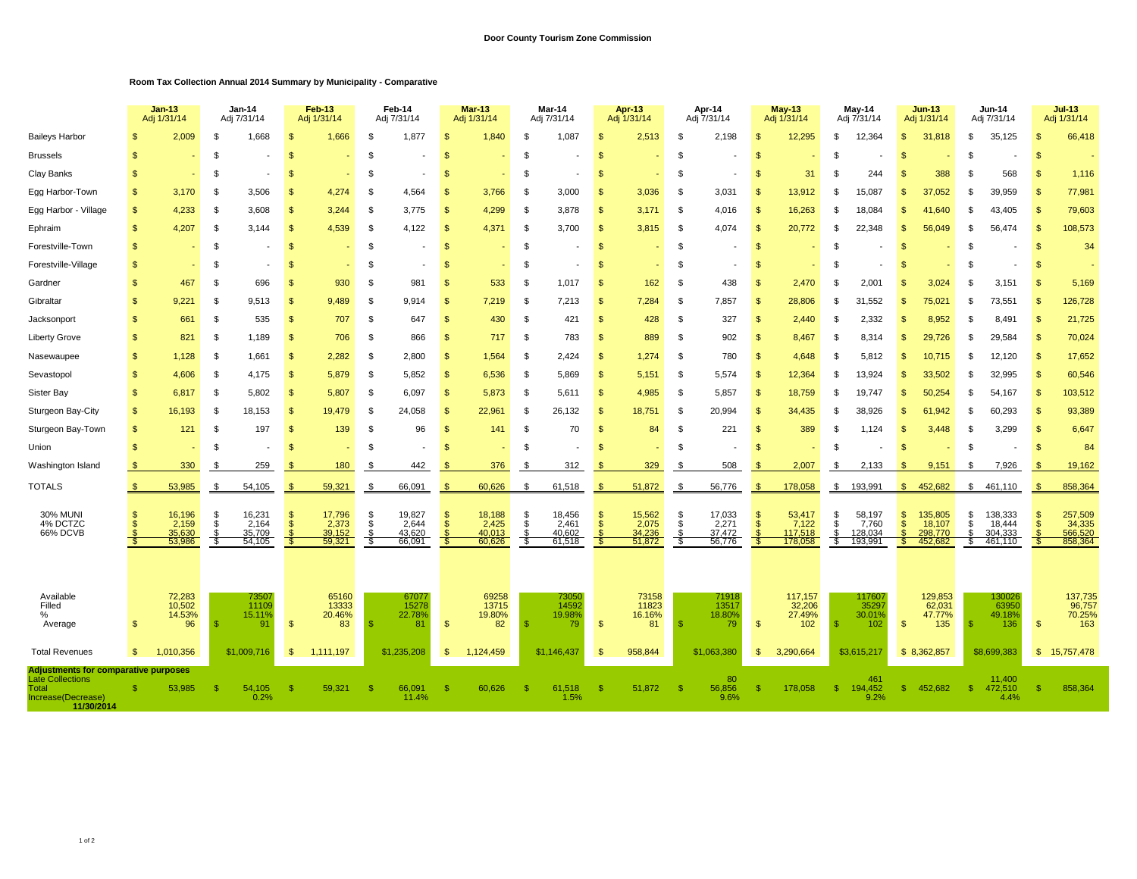## **Room Tax Collection Annual 2014 Summary by Municipality - Comparative**

|                                                                                                                     |                | $Jan-13$<br>Jan-14<br>Adj 1/31/14<br>Adj 7/31/14 |               |                                     | Feb-13<br>Adj 1/31/14 |                                     | Feb-14<br>Adj 7/31/14 |                                     | <b>Mar-13</b><br>Adj 1/31/14 |                                     |                | Mar-14<br>Adj 7/31/14               | <b>Apr-13</b><br>Adj 1/31/14 |                                     | Apr-14<br>Adj 7/31/14 |                                     | $May-13$<br>Adj 1/31/14     |                                       | May-14<br>Adj 7/31/14  |                                       | <b>Jun-13</b><br>Adj 1/31/14           |                                         | Jun-14<br>Adj 7/31/14 |                                         | $Jul-13$<br>Adj 1/31/14 |                                         |
|---------------------------------------------------------------------------------------------------------------------|----------------|--------------------------------------------------|---------------|-------------------------------------|-----------------------|-------------------------------------|-----------------------|-------------------------------------|------------------------------|-------------------------------------|----------------|-------------------------------------|------------------------------|-------------------------------------|-----------------------|-------------------------------------|-----------------------------|---------------------------------------|------------------------|---------------------------------------|----------------------------------------|-----------------------------------------|-----------------------|-----------------------------------------|-------------------------|-----------------------------------------|
| <b>Baileys Harbor</b>                                                                                               |                | 2,009                                            | \$.           | 1,668                               | S.                    | 1,666                               | \$.                   | 1,877                               |                              | 1,840                               | - \$           | 1,087                               | - \$                         | 2,513                               | . ፍ                   | 2,198                               | ி                           | 12,295                                | £.                     | 12,364                                | <b>S</b>                               | 31,818                                  | . ፍ                   | 35,125                                  | $\mathcal{S}$           | 66,418                                  |
| <b>Brussels</b>                                                                                                     | \$.            |                                                  | \$            |                                     | S.                    |                                     | \$                    |                                     | Я                            |                                     | -96            |                                     | <b>S</b>                     |                                     | $\mathfrak{F}$        |                                     | \$.                         |                                       | S                      |                                       | <b>S</b>                               |                                         | . ፍ                   |                                         | $\mathcal{S}$           |                                         |
| Clay Banks                                                                                                          | \$             |                                                  | \$            |                                     | S                     |                                     | \$                    |                                     | S                            |                                     | -S             |                                     | \$                           |                                     | -S                    |                                     | -S                          | 31                                    | \$                     | 244                                   | \$                                     | 388                                     | - \$                  | 568                                     | $\mathcal{S}$           | 1,116                                   |
| Egg Harbor-Town                                                                                                     | \$             | 3,170                                            | \$            | 3,506                               | $\mathbf{s}$          | 4,274                               | \$                    | 4,564                               | $\mathbf{s}$                 | 3,766                               | $\mathfrak{L}$ | 3,000                               | $\mathbf{s}$                 | 3,036                               | \$                    | 3,031                               | $\mathbf{\$}$               | 13,912                                | \$                     | 15,087                                | $\mathfrak{s}$                         | 37,052                                  | \$                    | 39,959                                  | $\mathfrak{S}$          | 77,981                                  |
| Egg Harbor - Village                                                                                                | \$             | 4,233                                            | \$            | 3,608                               | S                     | 3,244                               | \$                    | 3,775                               | $\mathfrak{F}$               | 4,299                               | -\$            | 3,878                               | $\mathbf{s}$                 | 3.171                               | $\mathfrak{L}$        | 4,016                               | $\mathbf{\hat{s}}$          | 16,263                                | \$                     | 18,084                                | \$                                     | 41.640                                  |                       | 43,405                                  | $\mathfrak{s}$          | 79,603                                  |
| Ephraim                                                                                                             | \$             | 4,207                                            | \$            | 3,144                               | $\mathbf{s}$          | 4,539                               | \$                    | 4,122                               | -S                           | 4,371                               | -\$            | 3,700                               | $\mathfrak{s}$               | 3,815                               | \$                    | 4,074                               | \$                          | 20,772                                | \$                     | 22,348                                | $\mathfrak{s}$                         | 56.049                                  | \$                    | 56,474                                  | $\mathbf{\$}$           | 108,573                                 |
| Forestville-Town                                                                                                    | $\mathfrak{L}$ |                                                  | \$            |                                     | <b>S</b>              |                                     | \$                    |                                     | -\$                          |                                     | -\$            |                                     | $\mathbf{s}$                 |                                     | -\$                   |                                     | $\mathbf{\$}$               |                                       | \$                     |                                       | -S                                     |                                         | \$                    |                                         | \$                      | 34                                      |
| Forestville-Village                                                                                                 | $\mathfrak{L}$ |                                                  | \$            |                                     | $\mathsf{\$}$         |                                     | \$                    |                                     | -S                           |                                     | -\$            |                                     | \$                           |                                     | \$                    |                                     | \$                          |                                       | \$                     |                                       | $\mathfrak{s}$                         |                                         | . ድ                   |                                         | $\mathfrak{S}$          |                                         |
| Gardner                                                                                                             | $\mathfrak{L}$ | 467                                              | \$            | 696                                 | S                     | 930                                 | $\mathfrak{L}$        | 981                                 | S                            | 533                                 |                | 1,017                               | $\mathbf{s}$                 | 162                                 | $\mathfrak{L}$        | 438                                 | $\mathfrak{L}$              | 2,470                                 | \$                     | 2,001                                 | \$.                                    | 3,024                                   |                       | 3,151                                   | -SS                     | 5,169                                   |
| Gibraltar                                                                                                           | $\mathfrak{L}$ | 9.221                                            | \$            | 9,513                               | $\mathbf{s}$          | 9.489                               | \$                    | 9.914                               | -\$                          | 7,219                               | - \$           | 7,213                               | $\mathfrak{s}$               | 7,284                               | \$                    | 7,857                               | \$                          | 28,806                                | \$                     | 31.552                                | \$                                     | 75,021                                  | . ፍ                   | 73,551                                  | \$                      | 126,728                                 |
| Jacksonport                                                                                                         | $\mathfrak{L}$ | 661                                              | - \$          | 535                                 | $\mathbf{s}$          | 707                                 | $\mathfrak{L}$        | 647                                 | -\$                          | 430                                 | -\$            | 421                                 | $\mathfrak{s}$               | 428                                 | \$                    | 327                                 | $\mathbb{S}$                | 2.440                                 | \$                     | 2.332                                 | \$                                     | 8.952                                   | . ፍ                   | 8.491                                   | -\$                     | 21,725                                  |
| <b>Liberty Grove</b>                                                                                                | $\mathbf{s}$   | 821                                              | -S            | 1,189                               | - \$                  | 706                                 | \$                    | 866                                 | $\mathbb{S}$                 | 717                                 | $\mathfrak{F}$ | 783                                 | $\mathbb{S}$                 | 889                                 | -S                    | 902                                 | $\mathbb{S}$                | 8,467                                 | -S                     | 8,314                                 | $\mathcal{S}$                          | 29.726                                  | .ዌ                    | 29,584                                  | $\mathbb{S}$            | 70,024                                  |
| Nasewaupee                                                                                                          | $\mathbf{s}$   | 1,128                                            | -S            | 1,661                               | <sup>\$</sup>         | 2,282                               | S                     | 2,800                               | $\mathbf{s}$                 | 1,564                               | -S             | 2.424                               | $\mathbb{S}$                 | 1,274                               | -S                    | 780                                 | $\mathbb{S}$                | 4,648                                 | \$                     | 5.812                                 | <b>S</b>                               | 10.715                                  | . ፍ                   | 12,120                                  | $\mathbb{S}$            | 17,652                                  |
| Sevastopol                                                                                                          | $\mathbf{s}$   | 4.606                                            | - \$          | 4,175                               | <sup>\$</sup>         | 5.879                               | S                     | 5.852                               | $\mathbf{s}$                 | 6,536                               | -S             | 5.869                               | $\mathbb{S}$                 | 5,151                               | -S                    | 5,574                               | $\mathbf{s}$                | 12,364                                | \$                     | 13.924                                | $\mathfrak{L}$                         | 33.502                                  |                       | 32,995                                  | $\mathcal{S}$           | 60,546                                  |
| Sister Bay                                                                                                          | $\mathfrak{F}$ | 6,817                                            | -S            | 5,802                               | - \$                  | 5,807                               | \$                    | 6,097                               | - \$                         | 5,873                               | - \$           | 5,611                               | $\mathbb{S}$                 | 4,985                               | \$                    | 5,857                               | $\mathfrak{s}$              | 18,759                                | S                      | 19,747                                | \$                                     | 50,254                                  |                       | 54,167                                  | $\mathbb{S}$            | 103,512                                 |
| Sturgeon Bay-City                                                                                                   | $\mathfrak{s}$ | 16,193                                           | \$            | 18,153                              | - \$                  | 19,479                              | \$                    | 24,058                              | $\mathbf{s}$                 | 22,961                              | -S             | 26,132                              | $\mathbb{S}$                 | 18,751                              | \$                    | 20,994                              | $\mathbf{s}$                | 34,435                                | S                      | 38,926                                | $\mathbb{S}$                           | 61,942                                  | - \$                  | 60,293                                  | $\mathbb{S}$            | 93,389                                  |
| Sturgeon Bay-Town                                                                                                   | $\mathfrak{L}$ | 121                                              | \$            | 197                                 | $\mathbf{s}$          | 139                                 | \$                    | 96                                  | \$                           | 141                                 | -\$            | 70                                  | $\mathfrak{s}$               | 84                                  | \$                    | 221                                 | $\mathbf{\$}$               | 389                                   | \$                     | 1,124                                 | $\mathfrak{s}$                         | 3,448                                   |                       | 3,299                                   | $\mathfrak{S}$          | 6,647                                   |
| Union                                                                                                               | $\mathbf{s}$   |                                                  | S             |                                     | S                     |                                     | \$                    |                                     | \$                           |                                     | \$             |                                     | \$.                          |                                     | -\$                   |                                     | \$.                         |                                       | S                      |                                       | \$                                     |                                         | \$                    |                                         | <b>S</b>                | 84                                      |
| Washington Island                                                                                                   |                | 330                                              | S             | 259                                 |                       | 180                                 | - \$                  | 442                                 |                              | 376                                 | - \$           | 312                                 |                              | 329                                 |                       | 508                                 |                             | 2,007                                 | £.                     | 2,133                                 | <b>.S</b>                              | 9,151                                   |                       | 7,926                                   |                         | 19,162                                  |
| <b>TOTALS</b>                                                                                                       |                | 53,985                                           | \$            | 54,105                              |                       | 59,321                              | \$                    | 66,091                              | $\mathbf{s}$                 | 60,626                              | \$             | 61,518                              |                              | 51,872                              | \$                    | 56,776                              |                             | 178,058                               | \$                     | 193,991                               | $\mathbb{S}$                           | 452,682                                 | $^{\circ}$            | 461,110                                 |                         | 858,364                                 |
| <b>30% MUNI</b><br>4% DCTZC<br>66% DCVB                                                                             | \$<br>\$.      | 16,196<br>2,159<br>35,630<br>53,986              | \$<br>\$<br>S | 16,231<br>2,164<br>35,709<br>54,105 | $\mathbf{s}$<br>-\$   | 17,796<br>2,373<br>39,152<br>59,321 | \$<br>\$<br>\$        | 19,827<br>2,644<br>43,620<br>66,091 | -\$<br>$\mathbf{s}$<br>-S    | 18,188<br>2,425<br>40,013<br>60,626 | -\$<br>\$      | 18,456<br>2,461<br>40,602<br>61,518 | $\sqrt{2}$<br>$\mathbf{\$}$  | 15,562<br>2,075<br>34,236<br>51,872 | \$<br><b>S</b>        | 17,033<br>2,271<br>37,472<br>56,776 | $\frac{3}{2}$<br>$\ddot{s}$ | 53,417<br>7,122<br>117,518<br>178,058 | \$<br>\$<br>£.<br>- \$ | 58,197<br>7,760<br>128,034<br>193,991 | $\mathsf{\$}$<br>$\mathfrak{s}$<br>\$. | 135,805<br>18,107<br>298,770<br>452,682 | \$<br>\$              | 138,333<br>18,444<br>304,333<br>461,110 | \$                      | 257,509<br>34,335<br>566,520<br>858,364 |
| Available<br>Filled<br>%<br>Average                                                                                 | \$.            | 72,283<br>10,502<br>14.53%<br>96                 | ு             | 73507<br>11109<br>15.11%<br>91      | $\mathcal{S}$         | 65160<br>13333<br>20.46%<br>83      | ி                     | 67077<br>15278<br>22.78%<br>81      | $\mathbf{s}$                 | 69258<br>13715<br>19.80%<br>82      | -S             | 73050<br>14592<br>19.98%<br>79      | $\mathbb{S}$                 | 73158<br>11823<br>16.16%<br>81      | - \$                  | 71918<br>13517<br>18.80%<br>79      | $\mathfrak{s}$              | 117,157<br>32,206<br>27.49%<br>102    | \$.                    | 117607<br>35297<br>30.01%<br>102      | $\mathbb{S}$                           | 129,853<br>62,031<br>47.77%<br>135      |                       | 130026<br>63950<br>49.18%<br>136        | $\sqrt{2}$              | 137,735<br>96,757<br>70.25%<br>163      |
| <b>Total Revenues</b>                                                                                               | $\mathbb{S}$   | 1.010.356                                        |               | \$1,009.716                         | $\mathbb{S}$          | 1,111,197                           |                       | \$1.235.208                         | -S                           | 1.124.459                           |                | \$1.146.437                         | <b>S</b>                     | 958.844                             |                       | \$1.063.380                         | $\mathbb{S}$                | 3.290.664                             |                        | \$3,615,217                           |                                        | \$8,362,857                             |                       | \$8.699.383                             |                         | \$15,757,478                            |
| <b>Adjustments for comparative purposes</b><br><b>Late Collections</b><br>Total<br>Increase(Decrease)<br>11/30/2014 |                | 53,985                                           |               | 54,105<br>0.2%                      | <sup>\$</sup>         | 59,321                              | -S                    | 66,091<br>11.4%                     | £.                           | 60,626                              |                | 61,518<br>1.5%                      | -S                           | 51,872                              | -\$                   | 80<br>56,856<br>9.6%                | \$.                         | 178,058                               | $\mathbb{S}$           | 461<br>194,452<br>9.2%                | -\$                                    | 452,682                                 | -\$                   | 11,400<br>472,510<br>4.4%               | -S                      | 858,364                                 |